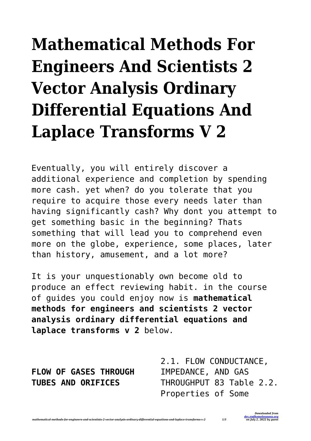## **Mathematical Methods For Engineers And Scientists 2 Vector Analysis Ordinary Differential Equations And Laplace Transforms V 2**

Eventually, you will entirely discover a additional experience and completion by spending more cash. yet when? do you tolerate that you require to acquire those every needs later than having significantly cash? Why dont you attempt to get something basic in the beginning? Thats something that will lead you to comprehend even more on the globe, experience, some places, later than history, amusement, and a lot more?

It is your unquestionably own become old to produce an effect reviewing habit. in the course of guides you could enjoy now is **mathematical methods for engineers and scientists 2 vector analysis ordinary differential equations and laplace transforms v 2** below.

**FLOW OF GASES THROUGH TUBES AND ORIFICES**

2.1. FLOW CONDUCTANCE, IMPEDANCE, AND GAS THROUGHPUT 83 Table 2.2. Properties of Some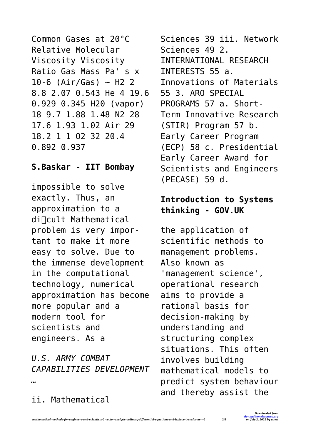```
Common Gases at 20°C
Relative Molecular
Viscosity Viscosity
Ratio Gas Mass Pa' s x
10-6 (Air/Gas) ~ H2 2
8.8 2.07 0.543 He 4 19.6
0.929 0.345 H20 (vapor)
18 9.7 1.88 1.48 N2 28
17.6 1.93 1.02 Air 29
18.2 1 1 O2 32 20.4
0.892 0.937
```
## **S.Baskar - IIT Bombay**

impossible to solve exactly. Thus, an approximation to a di $\sqrt{u}$ cult Mathematical problem is very important to make it more easy to solve. Due to the immense development in the computational technology, numerical approximation has become more popular and a modern tool for scientists and engineers. As a

*U.S. ARMY COMBAT CAPABILITIES DEVELOPMENT …*

ii. Mathematical

Sciences 39 iii. Network Sciences 49 2. INTERNATIONAL RESEARCH INTERESTS 55 a. Innovations of Materials 55 3. ARO SPECIAL PROGRAMS 57 a. Short-Term Innovative Research (STIR) Program 57 b. Early Career Program (ECP) 58 c. Presidential Early Career Award for Scientists and Engineers (PECASE) 59 d.

## **Introduction to Systems thinking - GOV.UK**

the application of scientific methods to management problems. Also known as 'management science', operational research aims to provide a rational basis for decision-making by understanding and structuring complex situations. This often involves building mathematical models to predict system behaviour and thereby assist the